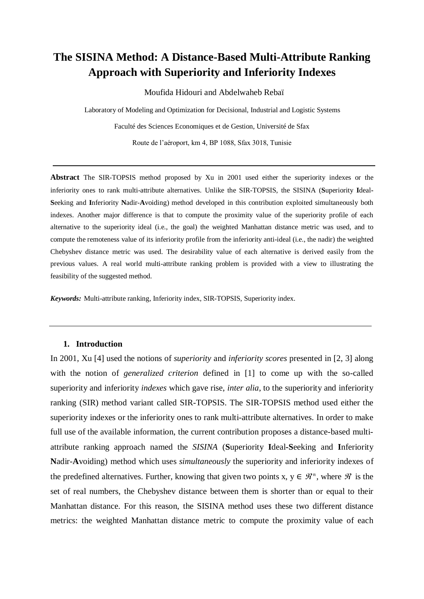# **The SISINA Method: A Distance-Based Multi-Attribute Ranking Approach with Superiority and Inferiority Indexes**

Moufida Hidouri and Abdelwaheb Rebaï

Laboratory of Modeling and Optimization for Decisional, Industrial and Logistic Systems Faculté des Sciences Economiques et de Gestion, Université de Sfax Route de l'aéroport, km 4, BP 1088, Sfax 3018, Tunisie

**Abstract** The SIR-TOPSIS method proposed by Xu in 2001 used either the superiority indexes or the inferiority ones to rank multi-attribute alternatives. Unlike the SIR-TOPSIS, the SISINA (**S**uperiority **I**deal**-S**eeking and **I**nferiority **N**adir-**A**voiding) method developed in this contribution exploited simultaneously both indexes. Another major difference is that to compute the proximity value of the superiority profile of each alternative to the superiority ideal (i.e., the goal) the weighted Manhattan distance metric was used, and to compute the remoteness value of its inferiority profile from the inferiority anti-ideal (i.e., the nadir) the weighted Chebyshev distance metric was used. The desirability value of each alternative is derived easily from the previous values. A real world multi-attribute ranking problem is provided with a view to illustrating the feasibility of the suggested method.

*Keywords:* Multi-attribute ranking, Inferiority index, SIR-TOPSIS, Superiority index.

#### **1. Introduction**

In 2001, Xu [4] used the notions of *superiority* and *inferiority scores* presented in [2, 3] along with the notion of *generalized criterion* defined in [1] to come up with the so-called superiority and inferiority *indexes* which gave rise, *inter alia*, to the superiority and inferiority ranking (SIR) method variant called SIR-TOPSIS. The SIR-TOPSIS method used either the superiority indexes or the inferiority ones to rank multi-attribute alternatives. In order to make full use of the available information, the current contribution proposes a distance-based multiattribute ranking approach named the *SISINA* (**S**uperiority **I**deal**-S**eeking and **I**nferiority **N**adir-**A**voiding) method which uses *simultaneously* the superiority and inferiority indexes of the predefined alternatives. Further, knowing that given two points x,  $y \in \mathcal{R}^n$ , where  $\mathcal{R}$  is the set of real numbers, the Chebyshev distance between them is shorter than or equal to their Manhattan distance. For this reason, the SISINA method uses these two different distance metrics: the weighted Manhattan distance metric to compute the proximity value of each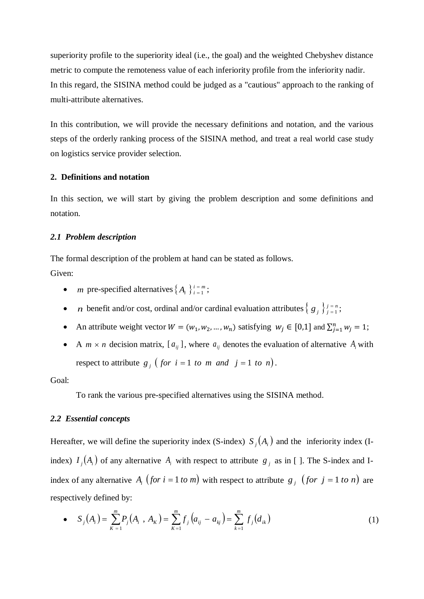superiority profile to the superiority ideal (i.e., the goal) and the weighted Chebyshev distance metric to compute the remoteness value of each inferiority profile from the inferiority nadir. In this regard, the SISINA method could be judged as a "cautious" approach to the ranking of multi-attribute alternatives.

In this contribution, we will provide the necessary definitions and notation, and the various steps of the orderly ranking process of the SISINA method, and treat a real world case study on logistics service provider selection.

# **2. Definitions and notation**

In this section, we will start by giving the problem description and some definitions and notation.

# *2.1 Problem description*

The formal description of the problem at hand can be stated as follows.

Given:

- *m* pre-specified alternatives  $\{A_i\}_{i=1}^{i=m}$ ;
- *n* benefit and/or cost, ordinal and/or cardinal evaluation attributes  $\{g_j\}_{j=1}^{j=n}$ ;
- An attribute weight vector  $W = (w_1, w_2, ..., w_n)$  satisfying  $w_j \in [0,1]$  and  $\sum_{j=1}^n w_j = 1$ ;
- A  $m \times n$  decision matrix,  $[a_{ij}]$ , where  $a_{ij}$  denotes the evaluation of alternative  $A_i$  with respect to attribute  $g_j$  (*for*  $i = 1$  *to*  $m$  *and*  $j = 1$  *to*  $n$ ).

# Goal:

To rank the various pre-specified alternatives using the SISINA method.

#### *2.2 Essential concepts*

Hereafter, we will define the superiority index (S-index)  $S_j(A_i)$  and the inferiority index (Iindex)  $I_j(A_i)$  of any alternative  $A_i$  with respect to attribute  $g_j$  as in []. The S-index and Iindex of any alternative  $A_i$  (for  $i = 1$  to m) with respect to attribute  $g_j$  (for  $j = 1$  to n) are respectively defined by:

• 
$$
S_j(A_i) = \sum_{K=1}^{m} P_j(A_i, A_K) = \sum_{K=1}^{m} f_j(a_{ij} - a_{kj}) = \sum_{K=1}^{m} f_j(d_{ik})
$$
 (1)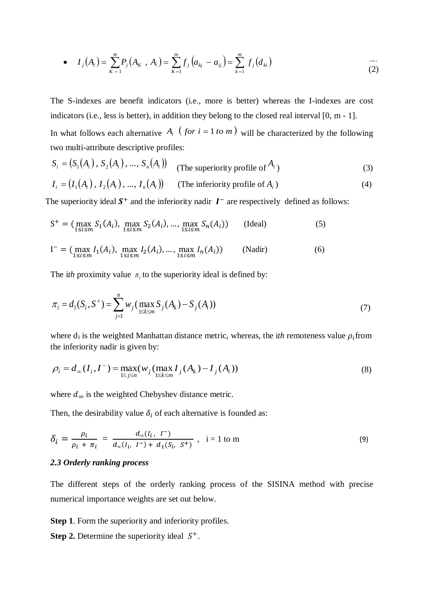• 
$$
I_j(A_i) = \sum_{K=1}^{m} P_j(A_K, A_i) = \sum_{K=1}^{m} f_j(a_{kj} - a_{ij}) = \sum_{k=1}^{m} f_j(d_{ki})
$$
 (2)

The S-indexes are benefit indicators (i.e., more is better) whereas the I-indexes are cost indicators (i.e., less is better), in addition they belong to the closed real interval [0, m - 1].

In what follows each alternative  $A_i$  (*for*  $i = 1$  *to*  $m$ ) will be characterized by the following two multi-attribute descriptive profiles:

$$
S_i = (S_1(A_i), S_2(A_i), ..., S_n(A_i))
$$
 (The superiority profile of  $A_i$ ) (3)

$$
I_i = (I_1(A_i), I_2(A_i), ..., I_n(A_i))
$$
 (The inferiority profile of  $A_i$ ) (4)

The superiority ideal  $S^+$  and the inferiority nadir  $I^-$  are respectively defined as follows:

$$
S^{+} = (\max_{1 \le i \le m} S_{1}(A_{i}), \max_{1 \le i \le m} S_{2}(A_{i}), ..., \max_{1 \le i \le m} S_{n}(A_{i}))
$$
 (Ideal) (5)

$$
I^{-} = (\max_{1 \le i \le m} I_{1}(A_{i}), \max_{1 \le i \le m} I_{2}(A_{i}), ..., \max_{1 \le i \le m} I_{n}(A_{i}))
$$
 (Nadir) (6)

The *ith* proximity value  $\pi$ <sub>i</sub> to the superiority ideal is defined by:

$$
\pi_i = d_1(S_i, S^+) = \sum_{j=1}^n w_j \left( \max_{1 \le k \le m} S_j(A_k) - S_j(A_i) \right) \tag{7}
$$

where  $d_1$  is the weighted Manhattan distance metric, whereas, the *ith* remoteness value  $\rho_i$  from the inferiority nadir is given by:

$$
\rho_i = d_{\infty}(I_i, I^-) = \max_{1 \le j \le n} (w_j (\max_{1 \le k \le m} I_j(A_k) - I_j(A_i))
$$
\n(8)

where  $d_{\infty}$  is the weighted Chebyshev distance metric.

Then, the desirability value  $\delta_i$  of each alternative is founded as:

$$
\delta_i = \frac{\rho_i}{\rho_i + \pi_i} = \frac{d_{\infty}(I_i, I^-)}{d_{\infty}(I_i, I^-) + d_1(S_i, S^+)} , \quad i = 1 \text{ to m}
$$
\n(9)

#### *2.3 Orderly ranking process*

The different steps of the orderly ranking process of the SISINA method with precise numerical importance weights are set out below.

**Step 1**. Form the superiority and inferiority profiles.

**Step 2.** Determine the superiority ideal  $S^+$ .